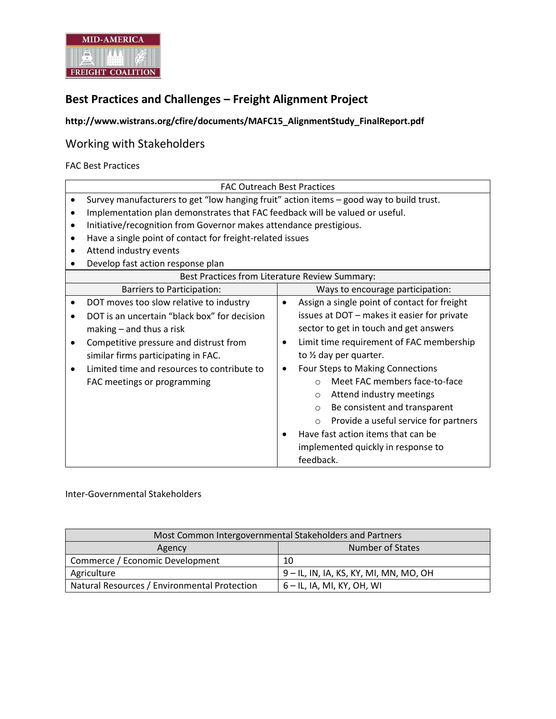

# **Best Practices and Challenges – Freight Alignment Project**

## **http://www.wistrans.org/cfire/documents/MAFC15\_AlignmentStudy\_FinalReport.pdf**

## Working with Stakeholders

FAC Best Practices

|           | <b>FAC Outreach Best Practices</b>                                                      |                                                           |  |  |
|-----------|-----------------------------------------------------------------------------------------|-----------------------------------------------------------|--|--|
|           | Survey manufacturers to get "low hanging fruit" action items - good way to build trust. |                                                           |  |  |
|           | Implementation plan demonstrates that FAC feedback will be valued or useful.            |                                                           |  |  |
| $\bullet$ | Initiative/recognition from Governor makes attendance prestigious.                      |                                                           |  |  |
|           | Have a single point of contact for freight-related issues                               |                                                           |  |  |
|           | Attend industry events                                                                  |                                                           |  |  |
|           | Develop fast action response plan                                                       |                                                           |  |  |
|           | Best Practices from Literature Review Summary:                                          |                                                           |  |  |
|           | <b>Barriers to Participation:</b>                                                       | Ways to encourage participation:                          |  |  |
|           | DOT moves too slow relative to industry                                                 | Assign a single point of contact for freight<br>$\bullet$ |  |  |
|           | DOT is an uncertain "black box" for decision                                            | issues at DOT - makes it easier for private               |  |  |
|           | $making - and thus a risk$                                                              | sector to get in touch and get answers                    |  |  |
| ٠         | Competitive pressure and distrust from                                                  | Limit time requirement of FAC membership<br>٠             |  |  |
|           | similar firms participating in FAC.                                                     | to 1/2 day per quarter.                                   |  |  |
|           | Limited time and resources to contribute to                                             | Four Steps to Making Connections<br>٠                     |  |  |
|           | FAC meetings or programming                                                             | Meet FAC members face-to-face<br>$\bigcap$                |  |  |
|           |                                                                                         | Attend industry meetings<br>$\Omega$                      |  |  |
|           |                                                                                         | Be consistent and transparent<br>$\circ$                  |  |  |
|           |                                                                                         | Provide a useful service for partners<br>$\circ$          |  |  |
|           |                                                                                         | Have fast action items that can be                        |  |  |
|           |                                                                                         | implemented quickly in response to                        |  |  |
|           |                                                                                         | feedback.                                                 |  |  |

#### Inter-Governmental Stakeholders

| Most Common Intergovernmental Stakeholders and Partners |                                        |  |
|---------------------------------------------------------|----------------------------------------|--|
| Agency                                                  | Number of States                       |  |
| Commerce / Economic Development                         | 10                                     |  |
| Agriculture                                             | 9 – IL, IN, IA, KS, KY, MI, MN, MO, OH |  |
| Natural Resources / Environmental Protection            | 6 – IL, IA, MI, KY, OH, WI             |  |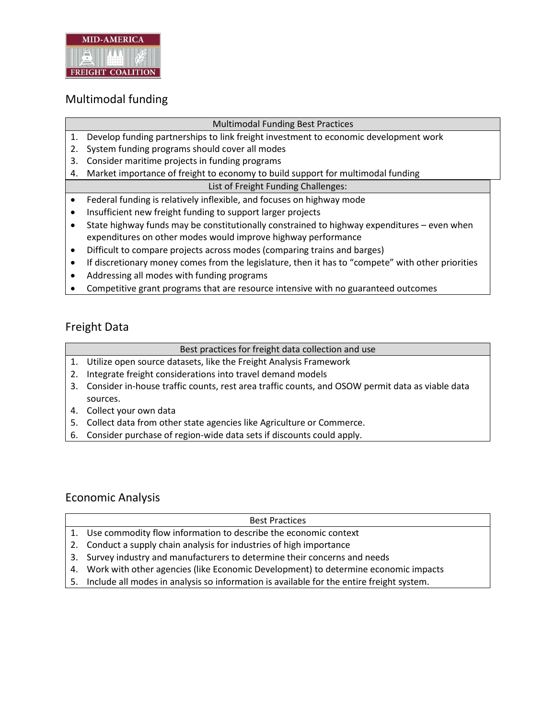

# Multimodal funding

### Multimodal Funding Best Practices

- 1. Develop funding partnerships to link freight investment to economic development work
- 2. System funding programs should cover all modes
- 3. Consider maritime projects in funding programs
- 4. Market importance of freight to economy to build support for multimodal funding

### List of Freight Funding Challenges:

- Federal funding is relatively inflexible, and focuses on highway mode
- Insufficient new freight funding to support larger projects
- State highway funds may be constitutionally constrained to highway expenditures even when expenditures on other modes would improve highway performance
- Difficult to compare projects across modes (comparing trains and barges)
- If discretionary money comes from the legislature, then it has to "compete" with other priorities
- Addressing all modes with funding programs
- Competitive grant programs that are resource intensive with no guaranteed outcomes

## Freight Data

### Best practices for freight data collection and use

- 1. Utilize open source datasets, like the Freight Analysis Framework
- 2. Integrate freight considerations into travel demand models
- 3. Consider in-house traffic counts, rest area traffic counts, and OSOW permit data as viable data sources.
- 4. Collect your own data
- 5. Collect data from other state agencies like Agriculture or Commerce.
- 6. Consider purchase of region-wide data sets if discounts could apply.

### Economic Analysis

| <b>Best Practices</b>                                                                       |
|---------------------------------------------------------------------------------------------|
| 1. Use commodity flow information to describe the economic context                          |
| 2. Conduct a supply chain analysis for industries of high importance                        |
| 3. Survey industry and manufacturers to determine their concerns and needs                  |
| 4. Work with other agencies (like Economic Development) to determine economic impacts       |
| 5. Include all modes in analysis so information is available for the entire freight system. |
|                                                                                             |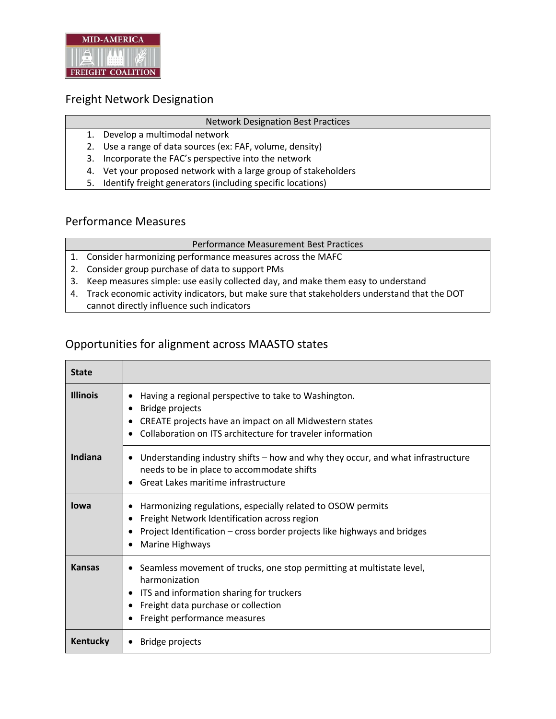

### Freight Network Designation

#### Network Designation Best Practices

- 1. Develop a multimodal network
- 2. Use a range of data sources (ex: FAF, volume, density)
- 3. Incorporate the FAC's perspective into the network
- 4. Vet your proposed network with a large group of stakeholders
- 5. Identify freight generators (including specific locations)

## Performance Measures

#### Performance Measurement Best Practices

- 1. Consider harmonizing performance measures across the MAFC
- 2. Consider group purchase of data to support PMs
- 3. Keep measures simple: use easily collected day, and make them easy to understand
- 4. Track economic activity indicators, but make sure that stakeholders understand that the DOT
- cannot directly influence such indicators

### Opportunities for alignment across MAASTO states

| <b>State</b>    |                                                                                                                                                                                                                              |
|-----------------|------------------------------------------------------------------------------------------------------------------------------------------------------------------------------------------------------------------------------|
| <b>Illinois</b> | Having a regional perspective to take to Washington.<br>Bridge projects<br>٠<br>CREATE projects have an impact on all Midwestern states<br>٠<br>Collaboration on ITS architecture for traveler information                   |
| Indiana         | Understanding industry shifts – how and why they occur, and what infrastructure<br>٠<br>needs to be in place to accommodate shifts<br>Great Lakes maritime infrastructure                                                    |
| lowa            | Harmonizing regulations, especially related to OSOW permits<br>Freight Network Identification across region<br>$\bullet$<br>Project Identification - cross border projects like highways and bridges<br>Marine Highways<br>٠ |
| <b>Kansas</b>   | Seamless movement of trucks, one stop permitting at multistate level,<br>٠<br>harmonization<br>ITS and information sharing for truckers<br>Freight data purchase or collection<br>$\bullet$<br>Freight performance measures  |
| Kentucky        | <b>Bridge projects</b>                                                                                                                                                                                                       |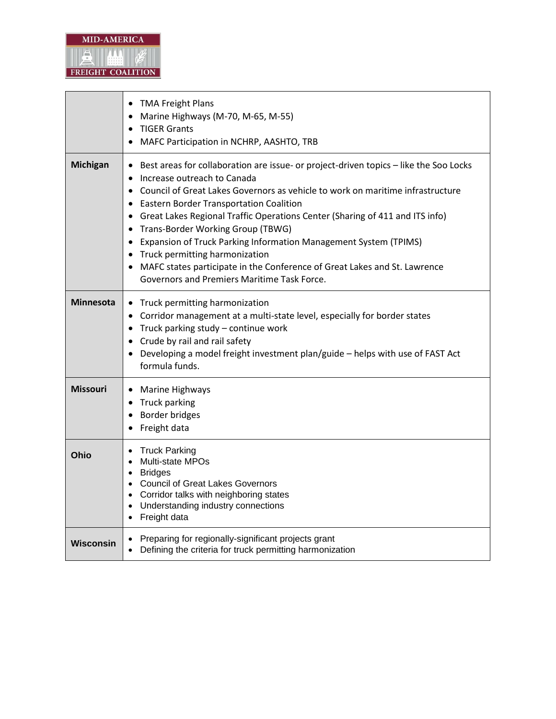

|                                                                                                                                                  | <b>TMA Freight Plans</b><br>$\bullet$<br>Marine Highways (M-70, M-65, M-55)<br>$\bullet$<br><b>TIGER Grants</b><br>$\bullet$<br>MAFC Participation in NCHRP, AASHTO, TRB                                                                                                                                                                                                                                                                                                                                                                                                                                                                                                                                   |  |
|--------------------------------------------------------------------------------------------------------------------------------------------------|------------------------------------------------------------------------------------------------------------------------------------------------------------------------------------------------------------------------------------------------------------------------------------------------------------------------------------------------------------------------------------------------------------------------------------------------------------------------------------------------------------------------------------------------------------------------------------------------------------------------------------------------------------------------------------------------------------|--|
| <b>Michigan</b>                                                                                                                                  | Best areas for collaboration are issue- or project-driven topics – like the Soo Locks<br>$\bullet$<br>Increase outreach to Canada<br>$\bullet$<br>Council of Great Lakes Governors as vehicle to work on maritime infrastructure<br>$\bullet$<br><b>Eastern Border Transportation Coalition</b><br>$\bullet$<br>Great Lakes Regional Traffic Operations Center (Sharing of 411 and ITS info)<br>$\bullet$<br>Trans-Border Working Group (TBWG)<br>$\bullet$<br>Expansion of Truck Parking Information Management System (TPIMS)<br>$\bullet$<br>Truck permitting harmonization<br>MAFC states participate in the Conference of Great Lakes and St. Lawrence<br>Governors and Premiers Maritime Task Force. |  |
| <b>Minnesota</b>                                                                                                                                 | Truck permitting harmonization<br>Corridor management at a multi-state level, especially for border states<br>$\bullet$<br>Truck parking study - continue work<br>Crude by rail and rail safety<br>Developing a model freight investment plan/guide - helps with use of FAST Act<br>formula funds.                                                                                                                                                                                                                                                                                                                                                                                                         |  |
| <b>Missouri</b>                                                                                                                                  | Marine Highways<br>$\bullet$<br>• Truck parking<br>Border bridges<br>$\bullet$<br>Freight data                                                                                                                                                                                                                                                                                                                                                                                                                                                                                                                                                                                                             |  |
| Ohio                                                                                                                                             | <b>Truck Parking</b><br>Multi-state MPOs<br><b>Bridges</b><br>$\bullet$<br><b>Council of Great Lakes Governors</b><br>$\bullet$<br>• Corridor talks with neighboring states<br>Understanding industry connections<br>$\bullet$<br>Freight data                                                                                                                                                                                                                                                                                                                                                                                                                                                             |  |
| Preparing for regionally-significant projects grant<br><b>Wisconsin</b><br>Defining the criteria for truck permitting harmonization<br>$\bullet$ |                                                                                                                                                                                                                                                                                                                                                                                                                                                                                                                                                                                                                                                                                                            |  |